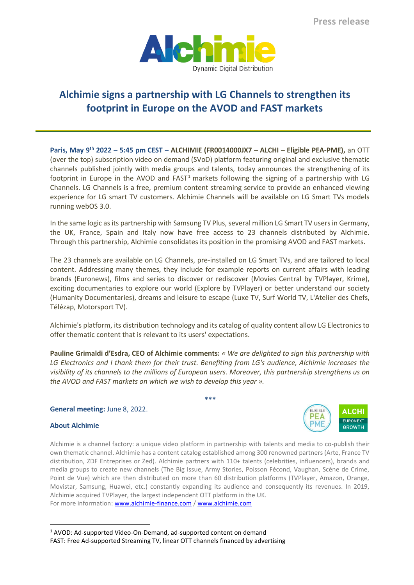

# **Alchimie signs a partnership with LG Channels to strengthen its footprint in Europe on the AVOD and FAST markets**

**Paris, May 9 th 2022 – 5:45 pm CEST – ALCHIMIE (FR0014000JX7 – ALCHI – Eligible PEA-PME),** an OTT (over the top) subscription video on demand (SVoD) platform featuring original and exclusive thematic channels published jointly with media groups and talents, today announces the strengthening of its footprint in Europe in the AVOD and FAST<sup>1</sup> markets following the signing of a partnership with LG Channels. LG Channels is a free, premium content streaming service to provide an enhanced viewing experience for LG smart TV customers. Alchimie Channels will be available on LG Smart TVs models running webOS 3.0.

In the same logic as its partnership with Samsung TV Plus, several million LG Smart TV users in Germany, the UK, France, Spain and Italy now have free access to 23 channels distributed by Alchimie. Through this partnership, Alchimie consolidates its position in the promising AVOD and FASTmarkets.

The 23 channels are available on LG Channels, pre-installed on LG Smart TVs, and are tailored to local content. Addressing many themes, they include for example reports on current affairs with leading brands (Euronews), films and series to discover or rediscover (Movies Central by TVPlayer, Krime), exciting documentaries to explore our world (Explore by TVPlayer) or better understand our society (Humanity Documentaries), dreams and leisure to escape (Luxe TV, Surf World TV, L'Atelier des Chefs, Télézap, Motorsport TV).

Alchimie's platform, its distribution technology and its catalog of quality content allow LG Electronics to offer thematic content that is relevant to its users' expectations.

**Pauline Grimaldi d'Esdra, CEO of Alchimie comments:** *« We are delighted to sign this partnership with LG Electronics and I thank them for their trust. Benefiting from LG's audience, Alchimie increases the visibility of its channels to the millions of European users. Moreover, this partnership strengthens us on the AVOD and FAST markets on which we wish to develop this year ».*

**\*\*\***

**General meeting:** June 8, 2022.

## **About Alchimie**

Alchimie is a channel factory: a unique video platform in partnership with talents and media to co-publish their own thematic channel. Alchimie has a content catalog established among 300 renowned partners (Arte, France TV distribution, ZDF Entreprises or Zed). Alchimie partners with 110+ talents (celebrities, influencers), brands and media groups to create new channels (The Big Issue, Army Stories, Poisson Fécond, Vaughan, Scène de Crime, Point de Vue) which are then distributed on more than 60 distribution platforms (TVPlayer, Amazon, Orange, Movistar, Samsung, Huawei, etc.) constantly expanding its audience and consequently its revenues. In 2019, Alchimie acquired TVPlayer, the largest independent OTT platform in the UK. For more information: [www.alchimie-finance.com](http://www.alchimie-finance.com/) / [www.alchimie.com](http://www.alchimie.com/)

<sup>1</sup> AVOD: Ad-supported Video-On-Demand, ad-supported content on demand FAST: Free Ad-supported Streaming TV, linear OTT channels financed by advertising